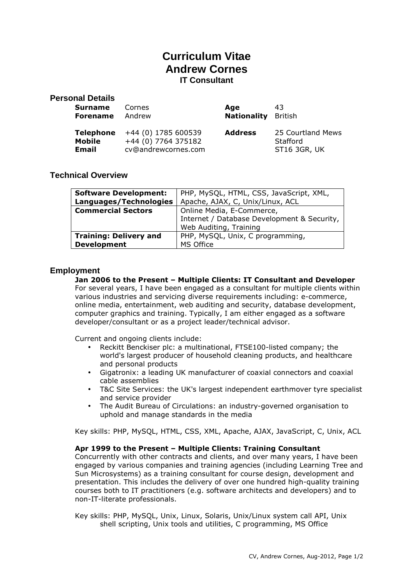# **Curriculum Vitae Andrew Cornes IT Consultant**

# **Personal Details**

| <b>Surname</b><br><b>Forename</b> | Cornes<br>Andrew                | Aae<br><b>Nationality</b> British | 43                  |
|-----------------------------------|---------------------------------|-----------------------------------|---------------------|
| Telephone                         | +44 (0) 1785 600539             | <b>Address</b>                    | 25 Courtland Mews   |
| <b>Mobile</b>                     | +44 (0) 7764 375182<br>Stafford |                                   |                     |
| Email                             | cv@andrewcornes.com             |                                   | <b>ST16 3GR, UK</b> |

# **Technical Overview**

| <b>Software Development:</b>  | PHP, MySQL, HTML, CSS, JavaScript, XML,     |  |
|-------------------------------|---------------------------------------------|--|
| Languages/Technologies        | Apache, AJAX, C, Unix/Linux, ACL            |  |
| <b>Commercial Sectors</b>     | Online Media, E-Commerce,                   |  |
|                               | Internet / Database Development & Security, |  |
|                               | Web Auditing, Training                      |  |
| <b>Training: Delivery and</b> | PHP, MySQL, Unix, C programming,            |  |
| <b>Development</b>            | MS Office                                   |  |

# **Employment**

## **Jan 2006 to the Present – Multiple Clients: IT Consultant and Developer**

For several years, I have been engaged as a consultant for multiple clients within various industries and servicing diverse requirements including: e-commerce, online media, entertainment, web auditing and security, database development, computer graphics and training. Typically, I am either engaged as a software developer/consultant or as a project leader/technical advisor.

Current and ongoing clients include:

- Reckitt Benckiser plc: a multinational, FTSE100-listed company; the world's largest producer of household cleaning products, and healthcare and personal products
- Gigatronix: a leading UK manufacturer of coaxial connectors and coaxial cable assemblies
- T&C Site Services: the UK's largest independent earthmover tyre specialist and service provider
- The Audit Bureau of Circulations: an industry-governed organisation to uphold and manage standards in the media

Key skills: PHP, MySQL, HTML, CSS, XML, Apache, AJAX, JavaScript, C, Unix, ACL

# **Apr 1999 to the Present – Multiple Clients: Training Consultant**

Concurrently with other contracts and clients, and over many years, I have been engaged by various companies and training agencies (including Learning Tree and Sun Microsystems) as a training consultant for course design, development and presentation. This includes the delivery of over one hundred high-quality training courses both to IT practitioners (e.g. software architects and developers) and to non-IT-literate professionals.

Key skills: PHP, MySQL, Unix, Linux, Solaris, Unix/Linux system call API, Unix shell scripting, Unix tools and utilities, C programming, MS Office